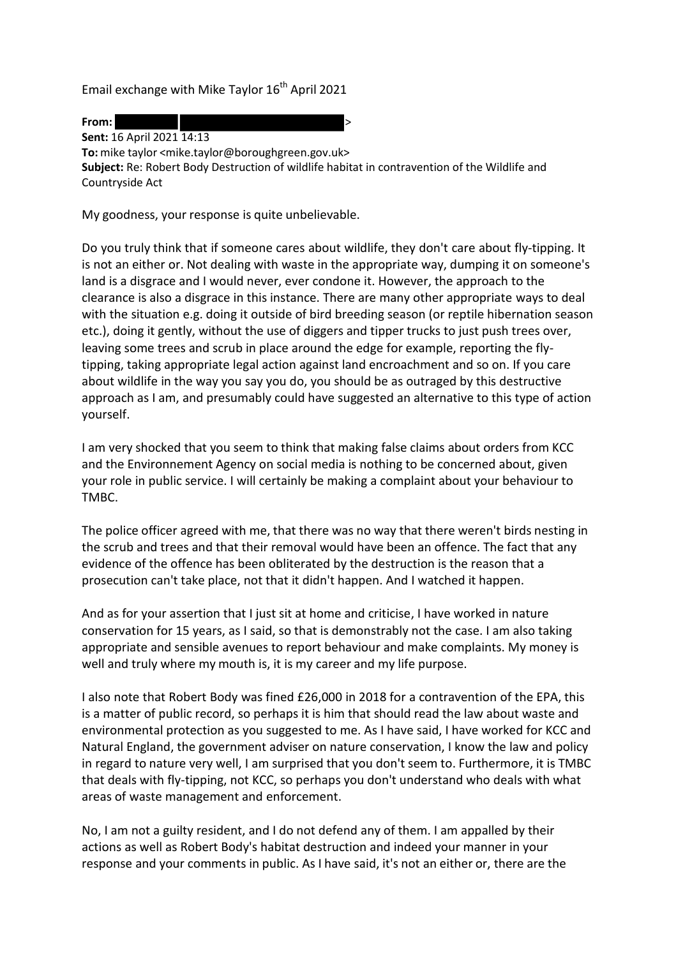Email exchange with Mike Taylor  $16<sup>th</sup>$  April 2021



**Sent:** 16 April 2021 14:13 **To:** mike taylor [<mike.taylor@boroughgreen.gov.uk>](mailto:mike.taylor@boroughgreen.gov.uk) **Subject:** Re: Robert Body Destruction of wildlife habitat in contravention of the Wildlife and Countryside Act

My goodness, your response is quite unbelievable.

Do you truly think that if someone cares about wildlife, they don't care about fly-tipping. It is not an either or. Not dealing with waste in the appropriate way, dumping it on someone's land is a disgrace and I would never, ever condone it. However, the approach to the clearance is also a disgrace in this instance. There are many other appropriate ways to deal with the situation e.g. doing it outside of bird breeding season (or reptile hibernation season etc.), doing it gently, without the use of diggers and tipper trucks to just push trees over, leaving some trees and scrub in place around the edge for example, reporting the flytipping, taking appropriate legal action against land encroachment and so on. If you care about wildlife in the way you say you do, you should be as outraged by this destructive approach as I am, and presumably could have suggested an alternative to this type of action yourself.

I am very shocked that you seem to think that making false claims about orders from KCC and the Environnement Agency on social media is nothing to be concerned about, given your role in public service. I will certainly be making a complaint about your behaviour to TMBC.

The police officer agreed with me, that there was no way that there weren't birds nesting in the scrub and trees and that their removal would have been an offence. The fact that any evidence of the offence has been obliterated by the destruction is the reason that a prosecution can't take place, not that it didn't happen. And I watched it happen.

And as for your assertion that I just sit at home and criticise, I have worked in nature conservation for 15 years, as I said, so that is demonstrably not the case. I am also taking appropriate and sensible avenues to report behaviour and make complaints. My money is well and truly where my mouth is, it is my career and my life purpose.

I also note that Robert Body was fined £26,000 in 2018 for a contravention of the EPA, this is a matter of public record, so perhaps it is him that should read the law about waste and environmental protection as you suggested to me. As I have said, I have worked for KCC and Natural England, the government adviser on nature conservation, I know the law and policy in regard to nature very well, I am surprised that you don't seem to. Furthermore, it is TMBC that deals with fly-tipping, not KCC, so perhaps you don't understand who deals with what areas of waste management and enforcement.

No, I am not a guilty resident, and I do not defend any of them. I am appalled by their actions as well as Robert Body's habitat destruction and indeed your manner in your response and your comments in public. As I have said, it's not an either or, there are the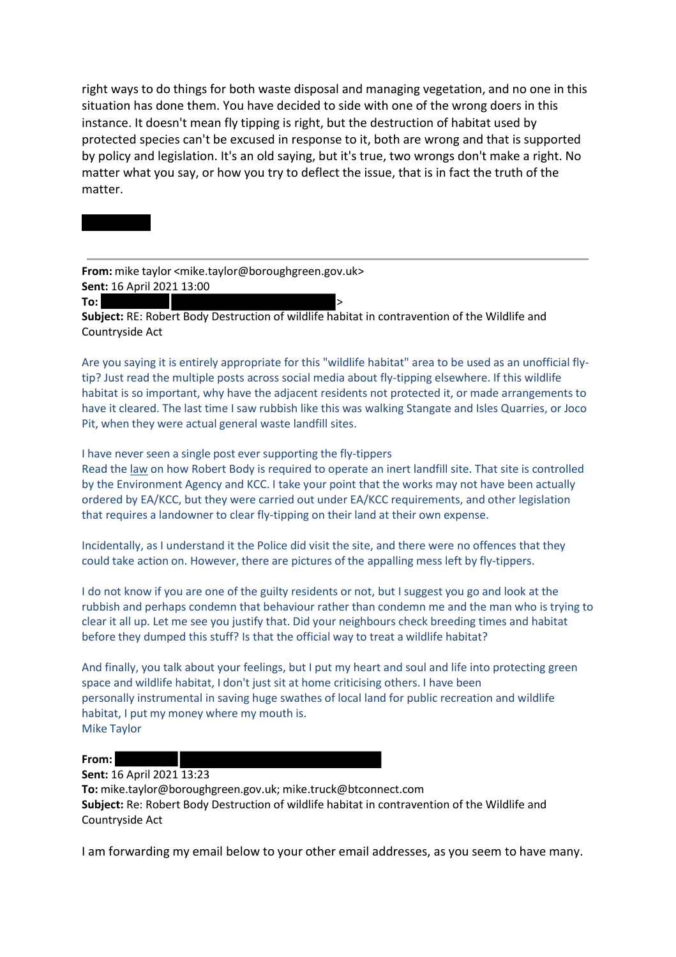right ways to do things for both waste disposal and managing vegetation, and no one in this situation has done them. You have decided to side with one of the wrong doers in this instance. It doesn't mean fly tipping is right, but the destruction of habitat used by protected species can't be excused in response to it, both are wrong and that is supported by policy and legislation. It's an old saying, but it's true, two wrongs don't make a right. No matter what you say, or how you try to deflect the issue, that is in fact the truth of the matter.

**From:** mike taylor [<mike.taylor@boroughgreen.gov.uk>](mailto:mike.taylor@boroughgreen.gov.uk) **Sent:** 16 April 2021 13:00

**To:** >

**Subject:** RE: Robert Body Destruction of wildlife habitat in contravention of the Wildlife and Countryside Act

Are you saying it is entirely appropriate for this "wildlife habitat" area to be used as an unofficial flytip? Just read the multiple posts across social media about fly-tipping elsewhere. If this wildlife habitat is so important, why have the adjacent residents not protected it, or made arrangements to have it cleared. The last time I saw rubbish like this was walking Stangate and Isles Quarries, or Joco Pit, when they were actual general waste landfill sites.

I have never seen a single post ever supporting the fly-tippers

Read the law on how Robert Body is required to operate an inert landfill site. That site is controlled by the Environment Agency and KCC. I take your point that the works may not have been actually ordered by EA/KCC, but they were carried out under EA/KCC requirements, and other legislation that requires a landowner to clear fly-tipping on their land at their own expense.

Incidentally, as I understand it the Police did visit the site, and there were no offences that they could take action on. However, there are pictures of the appalling mess left by fly-tippers.

I do not know if you are one of the guilty residents or not, but I suggest you go and look at the rubbish and perhaps condemn that behaviour rather than condemn me and the man who is trying to clear it all up. Let me see you justify that. Did your neighbours check breeding times and habitat before they dumped this stuff? Is that the official way to treat a wildlife habitat?

And finally, you talk about your feelings, but I put my heart and soul and life into protecting green space and wildlife habitat, I don't just sit at home criticising others. I have been personally instrumental in saving huge swathes of local land for public recreation and wildlife habitat, I put my money where my mouth is. Mike Taylor

**From:**

## **Sent:** 16 April 2021 13:23

**To:** mike.taylor@boroughgreen.gov.uk; [mike.truck@btconnect.com](mailto:mike.truck@btconnect.com) **Subject:** Re: Robert Body Destruction of wildlife habitat in contravention of the Wildlife and Countryside Act

I am forwarding my email below to your other email addresses, as you seem to have many.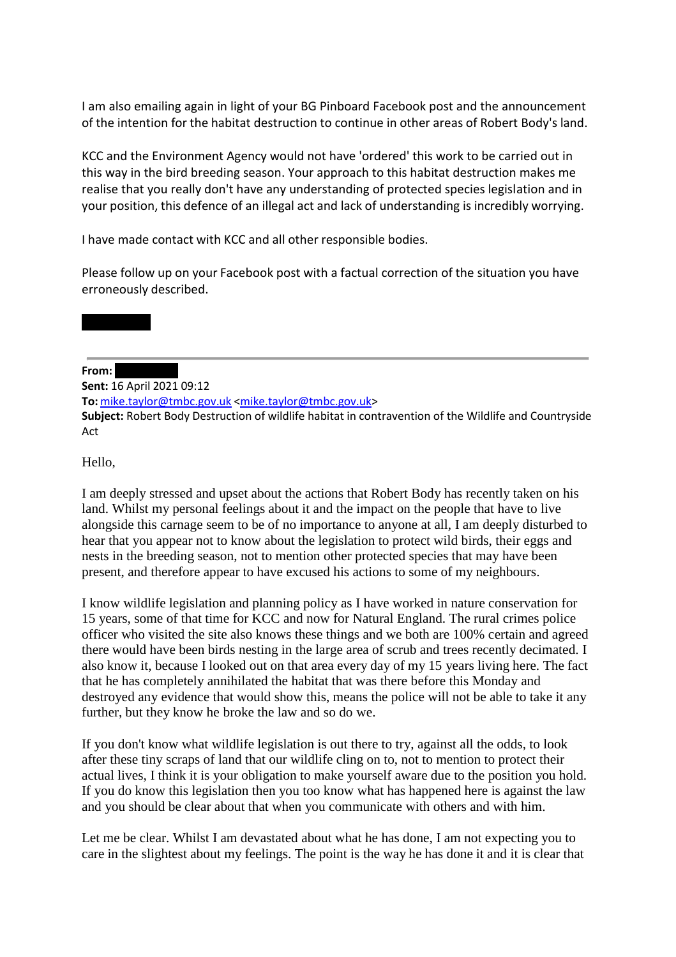I am also emailing again in light of your BG Pinboard Facebook post and the announcement of the intention for the habitat destruction to continue in other areas of Robert Body's land.

KCC and the Environment Agency would not have 'ordered' this work to be carried out in this way in the bird breeding season. Your approach to this habitat destruction makes me realise that you really don't have any understanding of protected species legislation and in your position, this defence of an illegal act and lack of understanding is incredibly worrying.

I have made contact with KCC and all other responsible bodies.

Please follow up on your Facebook post with a factual correction of the situation you have erroneously described.

## **From:**

**Sent:** 16 April 2021 09:12 **To:** [mike.taylor@tmbc.gov.uk](mailto:mike.taylor@tmbc.gov.uk) [<mike.taylor@tmbc.gov.uk>](mailto:mike.taylor@tmbc.gov.uk) **Subject:** Robert Body Destruction of wildlife habitat in contravention of the Wildlife and Countryside Act

Hello,

I am deeply stressed and upset about the actions that Robert Body has recently taken on his land. Whilst my personal feelings about it and the impact on the people that have to live alongside this carnage seem to be of no importance to anyone at all, I am deeply disturbed to hear that you appear not to know about the legislation to protect wild birds, their eggs and nests in the breeding season, not to mention other protected species that may have been present, and therefore appear to have excused his actions to some of my neighbours.

I know wildlife legislation and planning policy as I have worked in nature conservation for 15 years, some of that time for KCC and now for Natural England. The rural crimes police officer who visited the site also knows these things and we both are 100% certain and agreed there would have been birds nesting in the large area of scrub and trees recently decimated. I also know it, because I looked out on that area every day of my 15 years living here. The fact that he has completely annihilated the habitat that was there before this Monday and destroyed any evidence that would show this, means the police will not be able to take it any further, but they know he broke the law and so do we.

If you don't know what wildlife legislation is out there to try, against all the odds, to look after these tiny scraps of land that our wildlife cling on to, not to mention to protect their actual lives, I think it is your obligation to make yourself aware due to the position you hold. If you do know this legislation then you too know what has happened here is against the law and you should be clear about that when you communicate with others and with him.

Let me be clear. Whilst I am devastated about what he has done, I am not expecting you to care in the slightest about my feelings. The point is the way he has done it and it is clear that